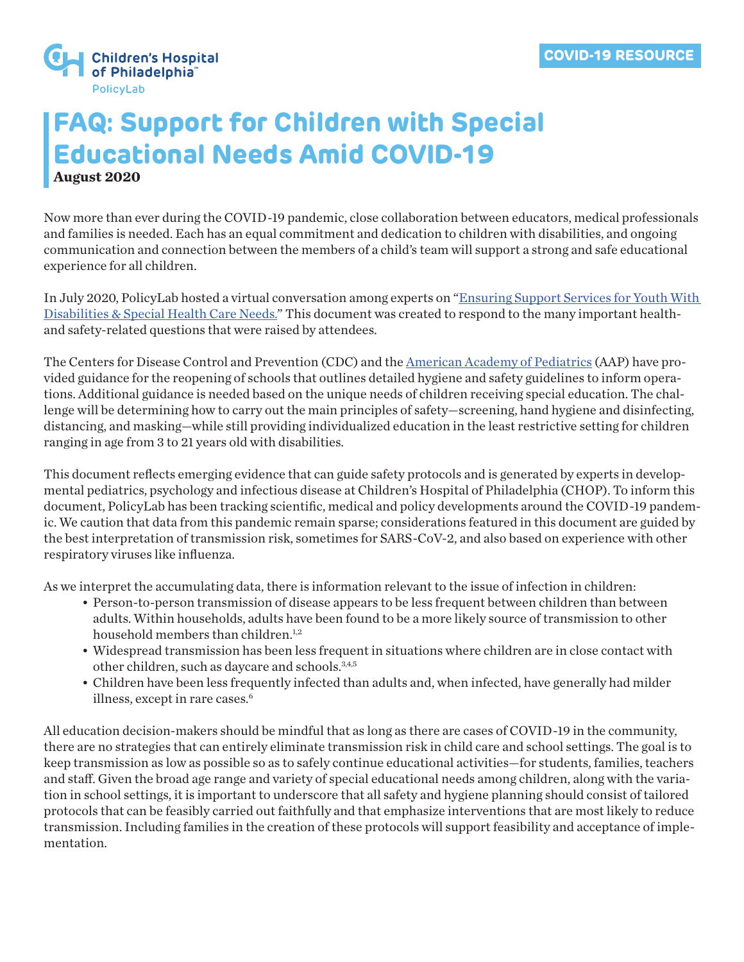

# **FAQ: Support for Children with Special Educational Needs Amid COVID-19 August 2020**

Now more than ever during the COVID-19 pandemic, close collaboration between educators, medical professionals and families is needed. Each has an equal commitment and dedication to children with disabilities, and ongoing communication and connection between the members of a child's team will support a strong and safe educational experience for all children.

In July 2020, PolicyLab hosted a virtual conversation among experts on "Ensuring Support Services for Youth With [Disabilities & Special Health Care Needs.](https://policylab.chop.edu/webinars/ensuring-support-services-youth-disabilities-special-health-care-needs-amid-covid-19)" This document was created to respond to the many important healthand safety-related questions that were raised by attendees.

The Centers for Disease Control and Prevention (CDC) and the [American Academy of Pediatrics](https://www.healthychildren.org/English/health-issues/conditions/COVID-19/Pages/Return-to-School-During-COVID-19.aspx) (AAP) have provided guidance for the reopening of schools that outlines detailed hygiene and safety guidelines to inform operations. Additional guidance is needed based on the unique needs of children receiving special education. The challenge will be determining how to carry out the main principles of safety—screening, hand hygiene and disinfecting, distancing, and masking—while still providing individualized education in the least restrictive setting for children ranging in age from 3 to 21 years old with disabilities.

This document reflects emerging evidence that can guide safety protocols and is generated by experts in developmental pediatrics, psychology and infectious disease at Children's Hospital of Philadelphia (CHOP). To inform this document, PolicyLab has been tracking scientific, medical and policy developments around the COVID-19 pandemic. We caution that data from this pandemic remain sparse; considerations featured in this document are guided by the best interpretation of transmission risk, sometimes for SARS-CoV-2, and also based on experience with other respiratory viruses like influenza.

As we interpret the accumulating data, there is information relevant to the issue of infection in children:

- Person-to-person transmission of disease appears to be less frequent between children than between adults. Within households, adults have been found to be a more likely source of transmission to other household members than children.<sup>1,2</sup>
- Widespread transmission has been less frequent in situations where children are in close contact with other children, such as daycare and schools.<sup>3,4,5</sup>
- Children have been less frequently infected than adults and, when infected, have generally had milder illness, except in rare cases.<sup>6</sup>

All education decision-makers should be mindful that as long as there are cases of COVID-19 in the community, there are no strategies that can entirely eliminate transmission risk in child care and school settings. The goal is to keep transmission as low as possible so as to safely continue educational activities—for students, families, teachers and staff. Given the broad age range and variety of special educational needs among children, along with the variation in school settings, it is important to underscore that all safety and hygiene planning should consist of tailored protocols that can be feasibly carried out faithfully and that emphasize interventions that are most likely to reduce transmission. Including families in the creation of these protocols will support feasibility and acceptance of implementation.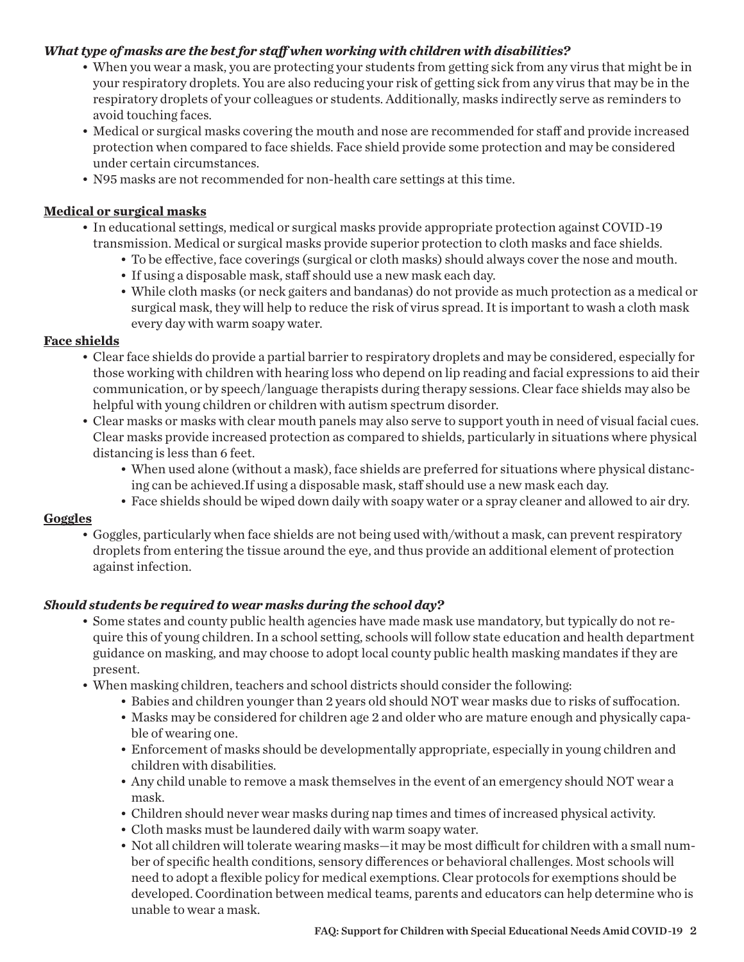#### *What type of masks are the best for staff when working with children with disabilities?*

- When you wear a mask, you are protecting your students from getting sick from any virus that might be in your respiratory droplets. You are also reducing your risk of getting sick from any virus that may be in the respiratory droplets of your colleagues or students. Additionally, masks indirectly serve as reminders to avoid touching faces.
- Medical or surgical masks covering the mouth and nose are recommended for staff and provide increased protection when compared to face shields. Face shield provide some protection and may be considered under certain circumstances.
- N95 masks are not recommended for non-health care settings at this time.

#### **Medical or surgical masks**

- In educational settings, medical or surgical masks provide appropriate protection against COVID-19 transmission. Medical or surgical masks provide superior protection to cloth masks and face shields.
	- To be effective, face coverings (surgical or cloth masks) should always cover the nose and mouth.
	- If using a disposable mask, staff should use a new mask each day.
	- While cloth masks (or neck gaiters and bandanas) do not provide as much protection as a medical or surgical mask, they will help to reduce the risk of virus spread. It is important to wash a cloth mask every day with warm soapy water.

#### **Face shields**

- Clear face shields do provide a partial barrier to respiratory droplets and may be considered, especially for those working with children with hearing loss who depend on lip reading and facial expressions to aid their communication, or by speech/language therapists during therapy sessions. Clear face shields may also be helpful with young children or children with autism spectrum disorder.
- Clear masks or masks with clear mouth panels may also serve to support youth in need of visual facial cues. Clear masks provide increased protection as compared to shields, particularly in situations where physical distancing is less than 6 feet.
	- When used alone (without a mask), face shields are preferred for situations where physical distancing can be achieved.If using a disposable mask, staff should use a new mask each day.
	- Face shields should be wiped down daily with soapy water or a spray cleaner and allowed to air dry.

#### **Goggles**

• Goggles, particularly when face shields are not being used with/without a mask, can prevent respiratory droplets from entering the tissue around the eye, and thus provide an additional element of protection against infection.

# *Should students be required to wear masks during the school day?*

- Some states and county public health agencies have made mask use mandatory, but typically do not require this of young children. In a school setting, schools will follow state education and health department guidance on masking, and may choose to adopt local county public health masking mandates if they are present.
- When masking children, teachers and school districts should consider the following:
	- Babies and children younger than 2 years old should NOT wear masks due to risks of suffocation.
	- Masks may be considered for children age 2 and older who are mature enough and physically capable of wearing one.
	- Enforcement of masks should be developmentally appropriate, especially in young children and children with disabilities.
	- Any child unable to remove a mask themselves in the event of an emergency should NOT wear a mask.
	- Children should never wear masks during nap times and times of increased physical activity.
	- Cloth masks must be laundered daily with warm soapy water.
	- Not all children will tolerate wearing masks—it may be most difficult for children with a small number of specific health conditions, sensory differences or behavioral challenges. Most schools will need to adopt a flexible policy for medical exemptions. Clear protocols for exemptions should be developed. Coordination between medical teams, parents and educators can help determine who is unable to wear a mask.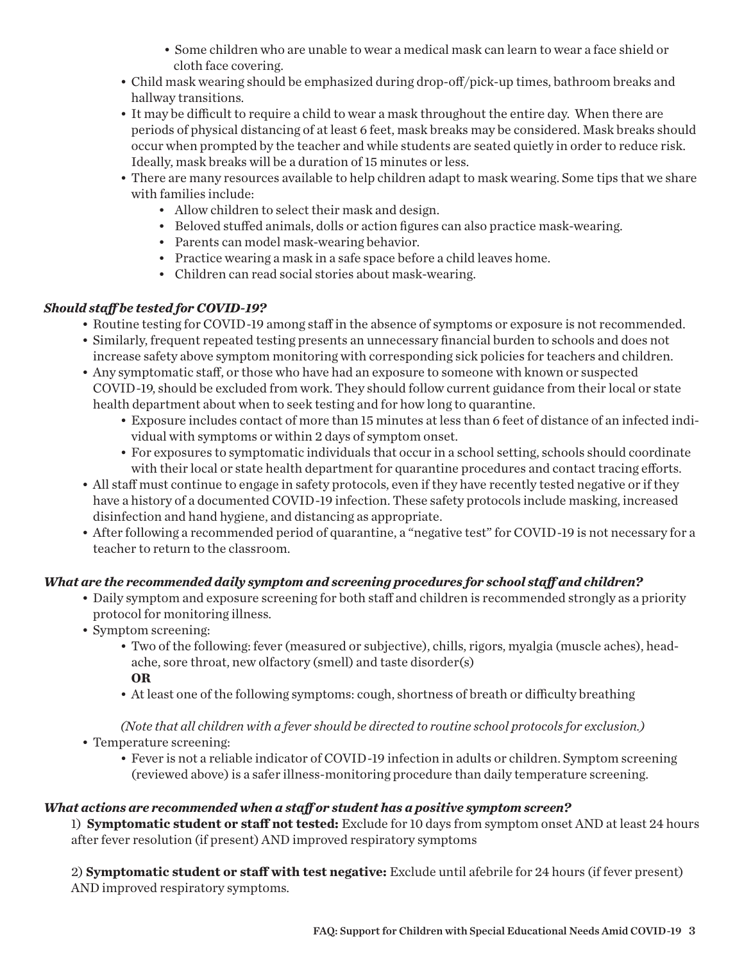- Some children who are unable to wear a medical mask can learn to wear a face shield or cloth face covering.
- Child mask wearing should be emphasized during drop-off/pick-up times, bathroom breaks and hallway transitions.
- It may be difficult to require a child to wear a mask throughout the entire day. When there are periods of physical distancing of at least 6 feet, mask breaks may be considered. Mask breaks should occur when prompted by the teacher and while students are seated quietly in order to reduce risk. Ideally, mask breaks will be a duration of 15 minutes or less.
- There are many resources available to help children adapt to mask wearing. Some tips that we share with families include:
	- Allow children to select their mask and design.
	- Beloved stuffed animals, dolls or action figures can also practice mask-wearing.
	- Parents can model mask-wearing behavior.
	- Practice wearing a mask in a safe space before a child leaves home.
	- Children can read social stories about mask-wearing.

# *Should staff be tested for COVID-19?*

- Routine testing for COVID-19 among staff in the absence of symptoms or exposure is not recommended.
- Similarly, frequent repeated testing presents an unnecessary financial burden to schools and does not increase safety above symptom monitoring with corresponding sick policies for teachers and children.
- Any symptomatic staff, or those who have had an exposure to someone with known or suspected COVID-19, should be excluded from work. They should follow current guidance from their local or state health department about when to seek testing and for how long to quarantine.
	- Exposure includes contact of more than 15 minutes at less than 6 feet of distance of an infected individual with symptoms or within 2 days of symptom onset.
	- For exposures to symptomatic individuals that occur in a school setting, schools should coordinate with their local or state health department for quarantine procedures and contact tracing efforts.
- All staff must continue to engage in safety protocols, even if they have recently tested negative or if they have a history of a documented COVID-19 infection. These safety protocols include masking, increased disinfection and hand hygiene, and distancing as appropriate.
- After following a recommended period of quarantine, a "negative test" for COVID-19 is not necessary for a teacher to return to the classroom.

# *What are the recommended daily symptom and screening procedures for school staff and children?*

- Daily symptom and exposure screening for both staff and children is recommended strongly as a priority protocol for monitoring illness.
- Symptom screening:
	- Two of the following: fever (measured or subjective), chills, rigors, myalgia (muscle aches), headache, sore throat, new olfactory (smell) and taste disorder(s) **OR**
	- At least one of the following symptoms: cough, shortness of breath or difficulty breathing

*(Note that all children with a fever should be directed to routine school protocols for exclusion.)*

- Temperature screening:
	- Fever is not a reliable indicator of COVID-19 infection in adults or children. Symptom screening (reviewed above) is a safer illness-monitoring procedure than daily temperature screening.

# *What actions are recommended when a staff or student has a positive symptom screen?*

1) **Symptomatic student or staff not tested:** Exclude for 10 days from symptom onset AND at least 24 hours after fever resolution (if present) AND improved respiratory symptoms

2) **Symptomatic student or staff with test negative:** Exclude until afebrile for 24 hours (if fever present) AND improved respiratory symptoms.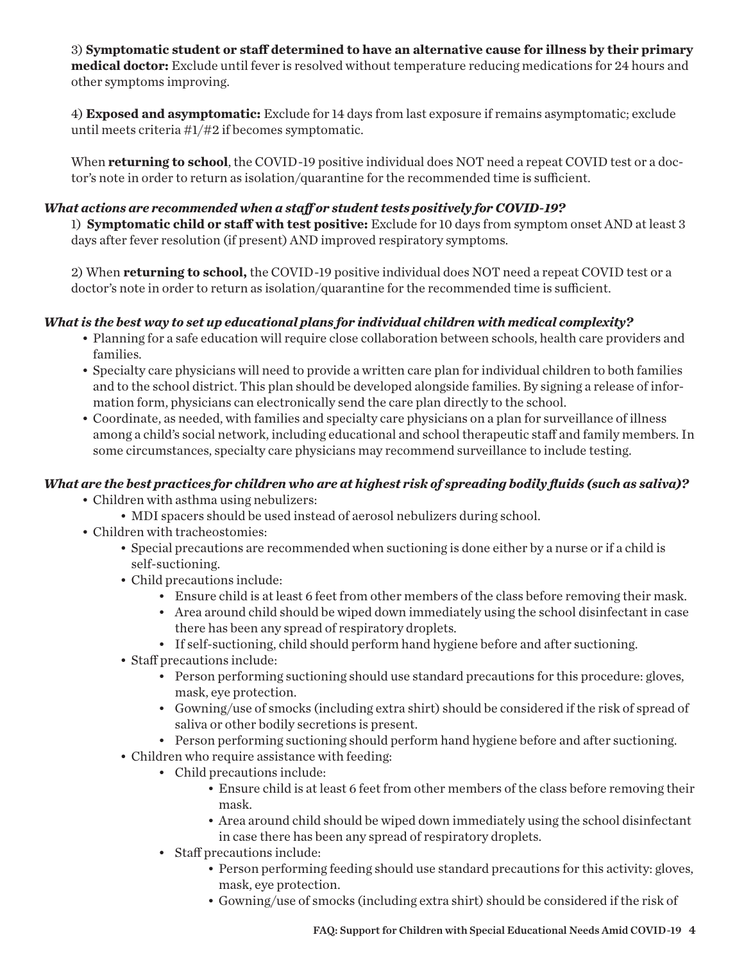3) **Symptomatic student or staff determined to have an alternative cause for illness by their primary medical doctor:** Exclude until fever is resolved without temperature reducing medications for 24 hours and other symptoms improving.

4) **Exposed and asymptomatic:** Exclude for 14 days from last exposure if remains asymptomatic; exclude until meets criteria #1/#2 if becomes symptomatic.

When **returning to school**, the COVID-19 positive individual does NOT need a repeat COVID test or a doctor's note in order to return as isolation/quarantine for the recommended time is sufficient.

#### *What actions are recommended when a staff or student tests positively for COVID-19?*

1) **Symptomatic child or staff with test positive:** Exclude for 10 days from symptom onset AND at least 3 days after fever resolution (if present) AND improved respiratory symptoms.

2) When **returning to school,** the COVID-19 positive individual does NOT need a repeat COVID test or a doctor's note in order to return as isolation/quarantine for the recommended time is sufficient.

#### *What is the best way to set up educational plans for individual children with medical complexity?*

- Planning for a safe education will require close collaboration between schools, health care providers and families.
- Specialty care physicians will need to provide a written care plan for individual children to both families and to the school district. This plan should be developed alongside families. By signing a release of information form, physicians can electronically send the care plan directly to the school.
- Coordinate, as needed, with families and specialty care physicians on a plan for surveillance of illness among a child's social network, including educational and school therapeutic staff and family members. In some circumstances, specialty care physicians may recommend surveillance to include testing.

# *What are the best practices for children who are at highest risk of spreading bodily fluids (such as saliva)?*

- Children with asthma using nebulizers:
	- MDI spacers should be used instead of aerosol nebulizers during school.
- Children with tracheostomies:
	- Special precautions are recommended when suctioning is done either by a nurse or if a child is self-suctioning.
	- Child precautions include:
		- Ensure child is at least 6 feet from other members of the class before removing their mask.
		- Area around child should be wiped down immediately using the school disinfectant in case there has been any spread of respiratory droplets.
		- If self-suctioning, child should perform hand hygiene before and after suctioning.
	- Staff precautions include:
		- Person performing suctioning should use standard precautions for this procedure: gloves, mask, eye protection.
		- Gowning/use of smocks (including extra shirt) should be considered if the risk of spread of saliva or other bodily secretions is present.
		- Person performing suctioning should perform hand hygiene before and after suctioning.
	- Children who require assistance with feeding:
		- Child precautions include:
			- Ensure child is at least 6 feet from other members of the class before removing their mask.
			- Area around child should be wiped down immediately using the school disinfectant in case there has been any spread of respiratory droplets.
		- Staff precautions include:
			- Person performing feeding should use standard precautions for this activity: gloves, mask, eye protection.
			- Gowning/use of smocks (including extra shirt) should be considered if the risk of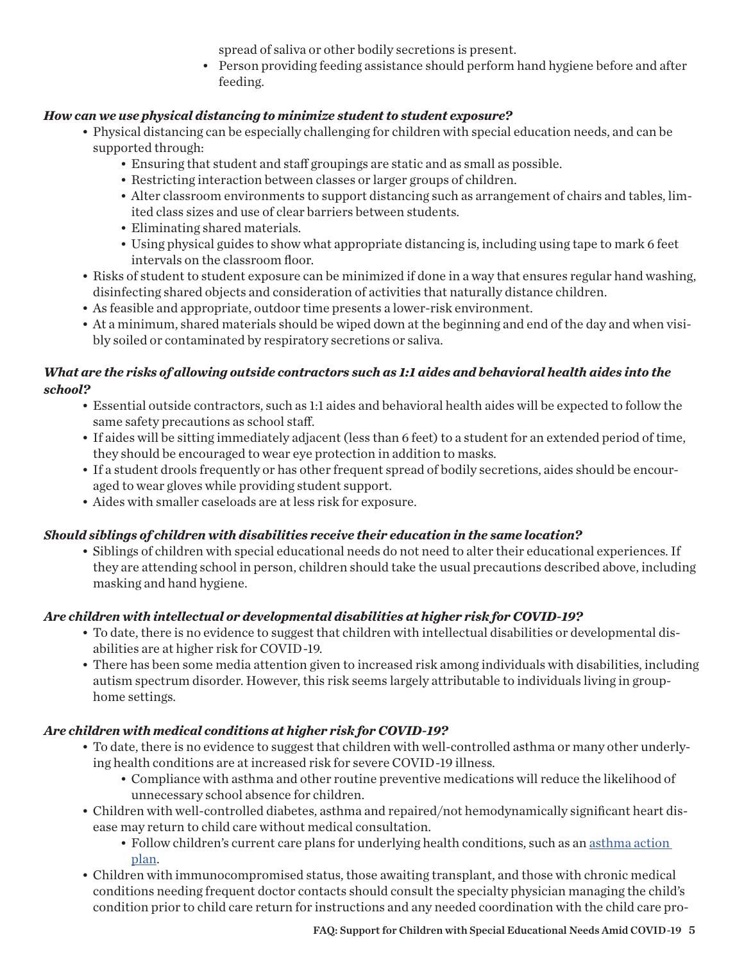spread of saliva or other bodily secretions is present.

• Person providing feeding assistance should perform hand hygiene before and after feeding.

#### *How can we use physical distancing to minimize student to student exposure?*

- Physical distancing can be especially challenging for children with special education needs, and can be supported through:
	- Ensuring that student and staff groupings are static and as small as possible.
	- Restricting interaction between classes or larger groups of children.
	- Alter classroom environments to support distancing such as arrangement of chairs and tables, limited class sizes and use of clear barriers between students.
	- Eliminating shared materials.
	- Using physical guides to show what appropriate distancing is, including using tape to mark 6 feet intervals on the classroom floor.
- Risks of student to student exposure can be minimized if done in a way that ensures regular hand washing, disinfecting shared objects and consideration of activities that naturally distance children.
- As feasible and appropriate, outdoor time presents a lower-risk environment.
- At a minimum, shared materials should be wiped down at the beginning and end of the day and when visibly soiled or contaminated by respiratory secretions or saliva.

### *What are the risks of allowing outside contractors such as 1:1 aides and behavioral health aides into the school?*

- Essential outside contractors, such as 1:1 aides and behavioral health aides will be expected to follow the same safety precautions as school staff.
- If aides will be sitting immediately adjacent (less than 6 feet) to a student for an extended period of time, they should be encouraged to wear eye protection in addition to masks.
- If a student drools frequently or has other frequent spread of bodily secretions, aides should be encouraged to wear gloves while providing student support.
- Aides with smaller caseloads are at less risk for exposure.

# *Should siblings of children with disabilities receive their education in the same location?*

• Siblings of children with special educational needs do not need to alter their educational experiences. If they are attending school in person, children should take the usual precautions described above, including masking and hand hygiene.

# *Are children with intellectual or developmental disabilities at higher risk for COVID-19?*

- To date, there is no evidence to suggest that children with intellectual disabilities or developmental disabilities are at higher risk for COVID-19.
- There has been some media attention given to increased risk among individuals with disabilities, including autism spectrum disorder. However, this risk seems largely attributable to individuals living in grouphome settings.

# *Are children with medical conditions at higher risk for COVID-19?*

- To date, there is no evidence to suggest that children with well-controlled asthma or many other underlying health conditions are at increased risk for severe COVID-19 illness.
	- Compliance with asthma and other routine preventive medications will reduce the likelihood of unnecessary school absence for children.
- Children with well-controlled diabetes, asthma and repaired/not hemodynamically significant heart disease may return to child care without medical consultation.
	- Follow children's current care plans for underlying health conditions, such as an [asthma action](https://www.cdc.gov/coronavirus/2019-ncov/need-extra-precautions/asthma.html)  [plan.](https://www.cdc.gov/coronavirus/2019-ncov/need-extra-precautions/asthma.html)
- Children with immunocompromised status, those awaiting transplant, and those with chronic medical conditions needing frequent doctor contacts should consult the specialty physician managing the child's condition prior to child care return for instructions and any needed coordination with the child care pro-